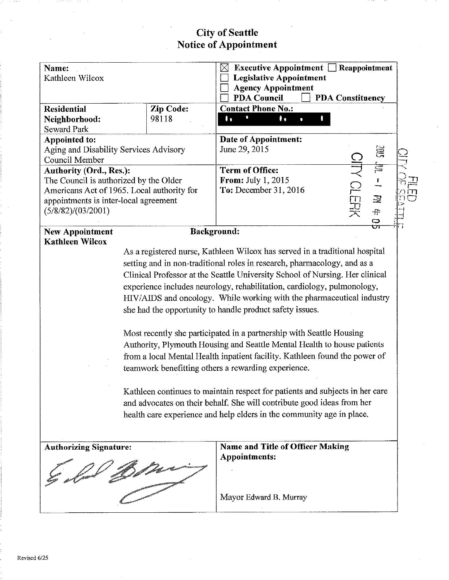# **City of Seattle<br>Notice of Appointment**

| Name:<br>Kathleen Wilcox                                                                                                         |                                            | Executive Appointment $\Box$ Reappointment<br>X<br><b>Legislative Appointment</b><br><b>Agency Appointment</b><br><b>PDA Council</b><br><b>PDA Constituency</b>                                                                                                                                                                                                                                                                                                                                                                                                                                                                                                                                                                                                                                                                                                                                                                                                                                   |   |  |  |  |  |
|----------------------------------------------------------------------------------------------------------------------------------|--------------------------------------------|---------------------------------------------------------------------------------------------------------------------------------------------------------------------------------------------------------------------------------------------------------------------------------------------------------------------------------------------------------------------------------------------------------------------------------------------------------------------------------------------------------------------------------------------------------------------------------------------------------------------------------------------------------------------------------------------------------------------------------------------------------------------------------------------------------------------------------------------------------------------------------------------------------------------------------------------------------------------------------------------------|---|--|--|--|--|
| <b>Residential</b><br>Neighborhood:<br><b>Seward Park</b>                                                                        | Zip Code:<br>98118                         | <b>Contact Phone No.:</b><br>$\mathbf{I}$<br>۰.                                                                                                                                                                                                                                                                                                                                                                                                                                                                                                                                                                                                                                                                                                                                                                                                                                                                                                                                                   |   |  |  |  |  |
| Appointed to:<br>Aging and Disability Services Advisory<br>Council Member                                                        |                                            | Date of Appointment:<br>June 29, 2015                                                                                                                                                                                                                                                                                                                                                                                                                                                                                                                                                                                                                                                                                                                                                                                                                                                                                                                                                             | 筥 |  |  |  |  |
| Authority (Ord., Res.):<br>The Council is authorized by the Older<br>appointments is inter-local agreement<br>(5/8/82)/(03/2001) | Americans Act of 1965. Local authority for | É<br><b>NOLERI</b><br><b>Term of Office:</b><br><b>From:</b> July 1, 2015<br>To: December 31, 2016<br>忌<br>$\ddot{\ddot{\cdot}}$<br>G                                                                                                                                                                                                                                                                                                                                                                                                                                                                                                                                                                                                                                                                                                                                                                                                                                                             |   |  |  |  |  |
| <b>New Appointment</b><br><b>Kathleen Wilcox</b>                                                                                 |                                            | Background:<br>As a registered nurse, Kathleen Wilcox has served in a traditional hospital<br>setting and in non-traditional roles in research, pharmacology, and as a<br>Clinical Professor at the Seattle University School of Nursing. Her clinical<br>experience includes neurology, rehabilitation, cardiology, pulmonology,<br>HIV/AIDS and oncology. While working with the pharmaceutical industry<br>she had the opportunity to handle product safety issues.<br>Most recently she participated in a partnership with Seattle Housing<br>Authority, Plymouth Housing and Seattle Mental Health to house patients<br>from a local Mental Health inpatient facility. Kathleen found the power of<br>teamwork benefitting others a rewarding experience.<br>Kathleen continues to maintain respect for patients and subjects in her care<br>and advocates on their behalf. She will contribute good ideas from her<br>health care experience and help elders in the community age in place. |   |  |  |  |  |
| <b>Authorizing Signature:</b>                                                                                                    |                                            | <b>Name and Title of Officer Making</b><br><b>Appointments:</b>                                                                                                                                                                                                                                                                                                                                                                                                                                                                                                                                                                                                                                                                                                                                                                                                                                                                                                                                   |   |  |  |  |  |
|                                                                                                                                  |                                            | Mayor Edward B. Murray                                                                                                                                                                                                                                                                                                                                                                                                                                                                                                                                                                                                                                                                                                                                                                                                                                                                                                                                                                            |   |  |  |  |  |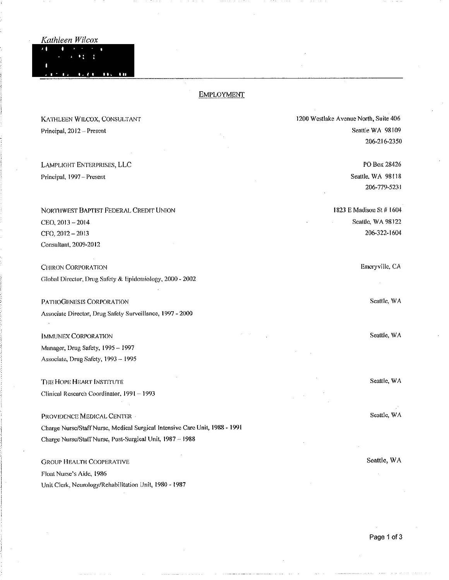Kathleen Wilcox

#### $\bullet$  $...$

#### **EMPLOYMENT**

KATHLEEN WILCOX, CONSULTANT Principal, 2012 - Present

LAMPLIGHT ENTERPRISES, LLC Principal, 1997-Present

NORTHWEST BAPTIST FEDERAL CREDIT UNION CEO, 2013-2014 CFO, 2012 - 2013 Consultant, 2009-2012

**CHIRON CORPORATION** Global Director, Drug Safety & Epidemiology, 2000 - 2002

PATHOGENESIS CORPORATION Associate Director, Drug Safety Surveillance, 1997 - 2000

**IMMUNEX CORPORATION** Manager, Drug Safety, 1995 - 1997 Associate, Drug Safety, 1993 - 1995

THE HOPE HEART INSTITUTE Clinical Research Coordinator, 1991 - 1993

PROVIDENCE MEDICAL CENTER -Charge Nurse/Staff Nurse, Medical Surgical Intensive Care Unit, 1988 - 1991 Charge Nurse/Staff Nurse, Post-Surgical Unit, 1987 - 1988

**GROUP HEALTH COOPERATIVE** Float Nurse's Aide, 1986 Unit Clerk, Neurology/Rehabilitation Unit, 1980 - 1987 1200 Westlake Avenue North, Suite 406 Seattle WA 98109 206-216-2350

> PO Box 28426 Seattle, WA 98118 206-779-5231

1823 E Madison St # 1604 Seattle, WA 98122 206-322-1604

Emeryville, CA

Seattle, WA

Seattle, WA

Seattle, WA

Seattle, WA

Seattle, WA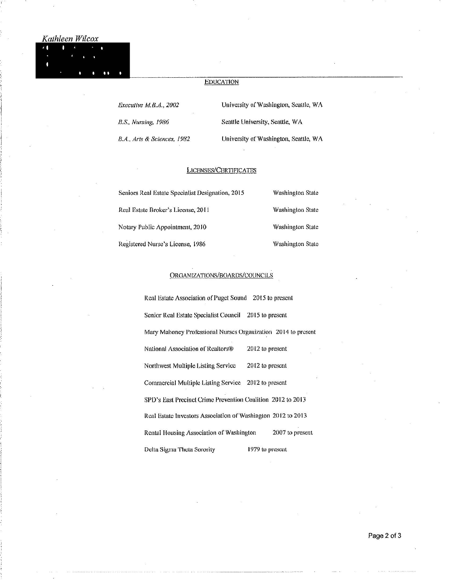# Kathleen Wilcox

### **EDUCATION**

Executive M.B.A., 2002

B.S., Nursing, 1986

University of Washington, Seattle, WA Seattle University, Seattle, WA

B.A., Arts & Sciences, 1982

University of Washington, Seattle, WA

#### **LICENSES/CERTIFICATES**

| Seniors Real Estate Specialist Designation, 2015 | <b>Washington State</b> |
|--------------------------------------------------|-------------------------|
| Real Estate Broker's License, 2011               | <b>Washington State</b> |
| Notary Public Appointment, 2010                  | <b>Washington State</b> |
| Registered Nurse's License, 1986                 | <b>Washington State</b> |

#### ORGANIZATIONS/BOARDS/COUNCILS

Real Estate Association of Puget Sound 2015 to present Senior Real Estate Specialist Council 2015 to present Mary Mahoney Professional Nurses Organization 2014 to present National Association of Realtors® 2012 to present Northwest Multiple Listing Service 2012 to present Commercial Multiple Listing Service 2012 to present SPD's East Precinct Crime Prevention Coalition 2012 to 2013 Real Estate Investors Association of Washington 2012 to 2013 2007 to present Rental Housing Association of Washington Delta Sigma Theta Sorority 1979 to present

Page 2 of 3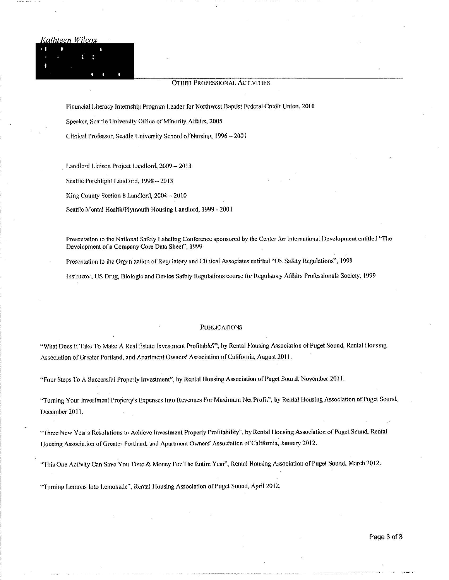#### Kathleen Wilcox

#### **OTHER PROFESSIONAL ACTIVITIES**

Financial Literacy Internship Program Leader for Northwest Baptist Federal Credit Union, 2010

Speaker, Seattle University Office of Minority Affairs, 2005

Clinical Professor, Seattle University School of Nursing, 1996 - 2001

Landlord Liaison Project Landlord, 2009 - 2013

Seattle Porchlight Landlord, 1998 - 2013

King County Section 8 Landlord, 2004 - 2010

Scattle Mental Health/Plymouth Housing Landlord, 1999 - 2001

Presentation to the National Safety Labeling Conference sponsored by the Center for International Development entitled "The Development of a Company Core Data Sheet", 1999

Presentation to the Organization of Regulatory and Clinical Associates entitled "US Safety Regulations", 1999

Instructor, US Drug, Biologic and Device Safety Regulations course for Regulatory Affairs Professionals Society, 1999

#### **PUBLICATIONS**

"What Does It Take To Make A Real Estate Investment Profitable?", by Rental Housing Association of Puget Sound, Rental Housing Association of Greater Portland, and Apartment Owners' Association of California, August 2011.

"Four Steps To A Successful Property Investment", by Rental Housing Association of Puget Sound, November 2011.

"Turning Your Investment Property's Expenses Into Revenues For Maximum Net Profit", by Rental Housing Association of Puget Sound, December 2011.

"Three New Year's Resolutions to Achieve Investment Property Profitability", by Rental Housing Association of Puget Sound, Rental Housing Association of Greater Portland, and Apartment Owners' Association of California, January 2012.

"This One Activity Can Save You Time & Money For The Entire Year", Rental Housing Association of Puget Sound, March 2012.

"Turning Lemons Into Lemonade", Rental Housing Association of Puget Sound, April 2012.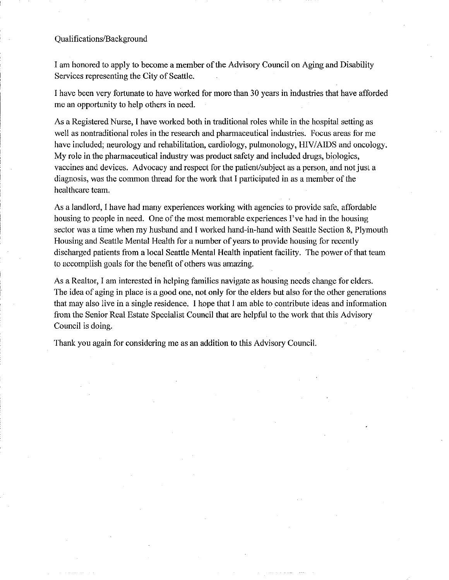## Oualifications/Background

I am honored to apply to become a member of the Advisory Council on Aging and Disability Services representing the City of Seattle.

I have been very fortunate to have worked for more than 30 years in industries that have afforded me an opportunity to help others in need.

As a Registered Nurse, I have worked both in traditional roles while in the hospital setting as well as nontraditional roles in the research and pharmaceutical industries. Focus areas for me have included; neurology and rehabilitation, cardiology, pulmonology, HIV/AIDS and oncology. My role in the pharmaceutical industry was product safety and included drugs, biologics, vaccines and devices. Advocacy and respect for the patient/subject as a person, and not just a diagnosis, was the common thread for the work that I participated in as a member of the healthcare team.

As a landlord, I have had many experiences working with agencies to provide safe, affordable housing to people in need. One of the most memorable experiences I've had in the housing sector was a time when my husband and I worked hand-in-hand with Seattle Section 8, Plymouth Housing and Seattle Mental Health for a number of years to provide housing for recently discharged patients from a local Seattle Mental Health inpatient facility. The power of that team to accomplish goals for the benefit of others was amazing.

As a Realtor, I am interested in helping families navigate as housing needs change for elders. The idea of aging in place is a good one, not only for the elders but also for the other generations that may also live in a single residence. I hope that I am able to contribute ideas and information from the Senior Real Estate Specialist Council that are helpful to the work that this Advisory Council is doing.

Thank you again for considering me as an addition to this Advisory Council.